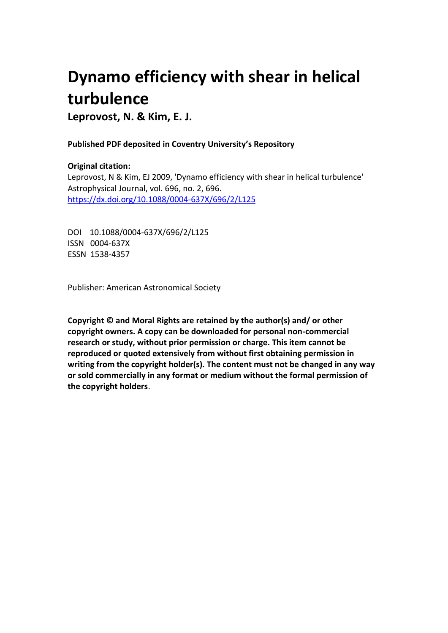# **Dynamo efficiency with shear in helical turbulence**

**Leprovost, N. & Kim, E. J.**

## **Published PDF deposited in Coventry University's Repository**

## **Original citation:**

Leprovost, N & Kim, EJ 2009, 'Dynamo efficiency with shear in helical turbulence' Astrophysical Journal, vol. 696, no. 2, 696. https://dx.doi.org/10.1088/0004-637X/696/2/L125

DOI 10.1088/0004-637X/696/2/L125 ISSN 0004-637X ESSN 1538-4357

Publisher: American Astronomical Society

**Copyright © and Moral Rights are retained by the author(s) and/ or other copyright owners. A copy can be downloaded for personal non-commercial research or study, without prior permission or charge. This item cannot be reproduced or quoted extensively from without first obtaining permission in writing from the copyright holder(s). The content must not be changed in any way or sold commercially in any format or medium without the formal permission of the copyright holders**.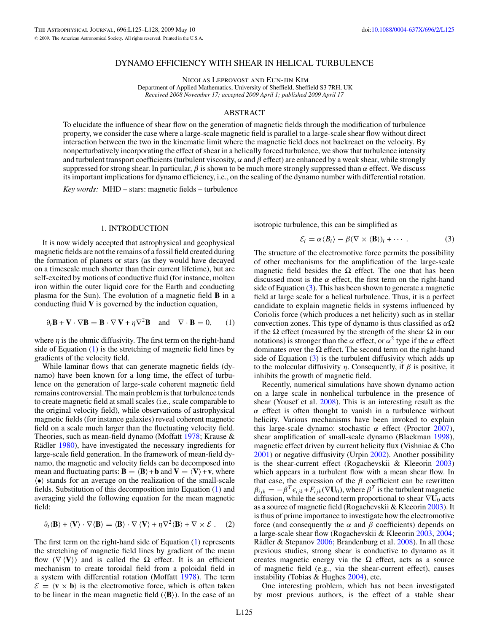### DYNAMO EFFICIENCY WITH SHEAR IN HELICAL TURBULENCE

Nicolas Leprovost and Eun-jin Kim

Department of Applied Mathematics, University of Sheffield, Sheffield S3 7RH, UK *Received 2008 November 17; accepted 2009 April 1; published 2009 April 17*

### ABSTRACT

To elucidate the influence of shear flow on the generation of magnetic fields through the modification of turbulence property, we consider the case where a large-scale magnetic field is parallel to a large-scale shear flow without direct interaction between the two in the kinematic limit where the magnetic field does not backreact on the velocity. By nonperturbatively incorporating the effect of shear in a helically forced turbulence, we show that turbulence intensity and turbulent transport coefficients (turbulent viscosity,  $\alpha$  and  $\beta$  effect) are enhanced by a weak shear, while strongly suppressed for strong shear. In particular,  $\beta$  is shown to be much more strongly suppressed than  $\alpha$  effect. We discuss its important implications for dynamo efficiency, i.e., on the scaling of the dynamo number with differential rotation.

*Key words:* MHD – stars: magnetic fields – turbulence

#### 1. INTRODUCTION

It is now widely accepted that astrophysical and geophysical magnetic fields are not the remains of a fossil field created during the formation of planets or stars (as they would have decayed on a timescale much shorter than their current lifetime), but are self-excited by motions of conductive fluid (for instance, molten iron within the outer liquid core for the Earth and conducting plasma for the Sun). The evolution of a magnetic field **B** in a conducting fluid **V** is governed by the induction equation,

$$
\partial_t \mathbf{B} + \mathbf{V} \cdot \nabla \mathbf{B} = \mathbf{B} \cdot \nabla \mathbf{V} + \eta \nabla^2 \mathbf{B} \quad \text{and} \quad \nabla \cdot \mathbf{B} = 0,\qquad(1)
$$

where  $\eta$  is the ohmic diffusivity. The first term on the right-hand side of Equation (1) is the stretching of magnetic field lines by gradients of the velocity field.

While laminar flows that can generate magnetic fields (dynamo) have been known for a long time, the effect of turbulence on the generation of large-scale coherent magnetic field remains controversial. The main problem is that turbulence tends to create magnetic field at small scales (i.e., scale comparable to the original velocity field), while observations of astrophysical magnetic fields (for instance galaxies) reveal coherent magnetic field on a scale much larger than the fluctuating velocity field. Theories, such as mean-field dynamo (Moffatt [1978;](#page-4-0) Krause & Rädler [1980\)](#page-4-0), have investigated the necessary ingredients for large-scale field generation. In the framework of mean-field dynamo, the magnetic and velocity fields can be decomposed into mean and fluctuating parts:  $\mathbf{B} = \langle \mathbf{B} \rangle + \mathbf{b}$  and  $\mathbf{V} = \langle \mathbf{V} \rangle + \mathbf{v}$ , where  $\langle \bullet \rangle$  stands for an average on the realization of the small-scale fields. Substitution of this decomposition into Equation (1) and averaging yield the following equation for the mean magnetic field:

$$
\partial_t \langle \mathbf{B} \rangle + \langle \mathbf{V} \rangle \cdot \nabla \langle \mathbf{B} \rangle = \langle \mathbf{B} \rangle \cdot \nabla \langle \mathbf{V} \rangle + \eta \nabla^2 \langle \mathbf{B} \rangle + \nabla \times \mathcal{E} \ . \tag{2}
$$

The first term on the right-hand side of Equation (1) represents the stretching of magnetic field lines by gradient of the mean flow  $(\nabla \langle V \rangle)$  and is called the  $\Omega$  effect. It is an efficient mechanism to create toroidal field from a poloidal field in a system with differential rotation (Moffatt [1978\)](#page-4-0). The term  $\mathcal{E} = \langle \mathbf{v} \times \mathbf{b} \rangle$  is the electromotive force, which is often taken to be linear in the mean magnetic field  $(\langle \mathbf{B} \rangle)$ . In the case of an

isotropic turbulence, this can be simplified as

$$
\mathcal{E}_i = \alpha \langle B_i \rangle - \beta (\nabla \times \langle \mathbf{B} \rangle)_i + \cdots \,.
$$
 (3)

The structure of the electromotive force permits the possibility of other mechanisms for the amplification of the large-scale magnetic field besides the  $\Omega$  effect. The one that has been discussed most is the  $\alpha$  effect, the first term on the right-hand side of Equation  $(3)$ . This has been shown to generate a magnetic field at large scale for a helical turbulence. Thus, it is a perfect candidate to explain magnetic fields in systems influenced by Coriolis force (which produces a net helicity) such as in stellar convection zones. This type of dynamo is thus classified as *α*Ω if the  $\Omega$  effect (measured by the strength of the shear  $\Omega$  in our notations) is stronger than the  $\alpha$  effect, or  $\alpha^2$  type if the  $\alpha$  effect dominates over the  $\Omega$  effect. The second term on the right-hand side of Equation  $(3)$  is the turbulent diffusivity which adds up to the molecular diffusivity *η*. Consequently, if *β* is positive, it inhibits the growth of magnetic field.

Recently, numerical simulations have shown dynamo action on a large scale in nonhelical turbulence in the presence of shear (Yousef et al. [2008\)](#page-4-0). This is an interesting result as the *α* effect is often thought to vanish in a turbulence without helicity. Various mechanisms have been invoked to explain this large-scale dynamo: stochastic *α* effect (Proctor [2007\)](#page-4-0), shear amplification of small-scale dynamo (Blackman [1998\)](#page-4-0), magnetic effect driven by current helicity flux (Vishniac & Cho [2001\)](#page-4-0) or negative diffusivity (Urpin [2002\)](#page-4-0). Another possibility is the shear-current effect (Rogachevskii  $\&$  Kleeorin [2003\)](#page-4-0) which appears in a turbulent flow with a mean shear flow. In that case, the expression of the  $\beta$  coefficient can be rewritten  $\beta_{ijk} = -\beta^T \epsilon_{ijk} + F_{ijk} (\nabla U_0)$ , where  $\beta^T$  is the turbulent magnetic diffusion, while the second term proportional to shear ∇**U**<sup>0</sup> acts as a source of magnetic field (Rogachevskii & Kleeorin [2003\)](#page-4-0). It is thus of prime importance to investigate how the electromotive force (and consequently the *α* and *β* coefficients) depends on a large-scale shear flow (Rogachevskii & Kleeorin [2003,](#page-4-0) [2004;](#page-4-0) Rädler & Stepanov  $2006$ ; Brandenburg et al.  $2008$ ). In all these previous studies, strong shear is conductive to dynamo as it creates magnetic energy via the  $\Omega$  effect, acts as a source of magnetic field (e.g., via the shear-current effect), causes instability (Tobias & Hughes [2004\)](#page-4-0), etc.

One interesting problem, which has not been investigated by most previous authors, is the effect of a stable shear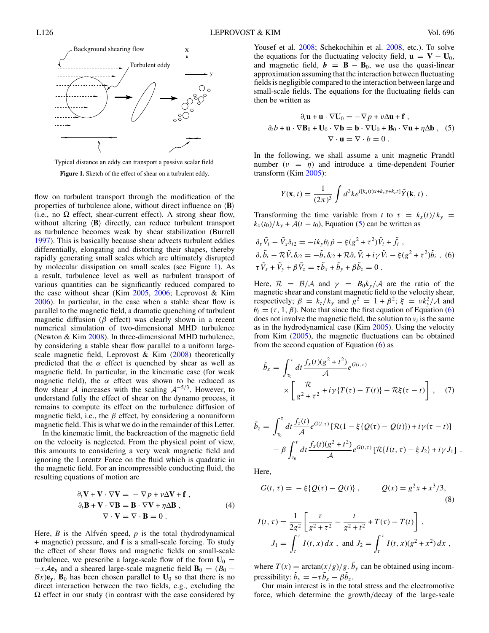<span id="page-2-0"></span>



flow on turbulent transport through the modification of the properties of turbulence alone, without direct influence on  $\langle \mathbf{B} \rangle$ (i.e., no  $\Omega$  effect, shear-current effect). A strong shear flow, without altering  $\langle \mathbf{B} \rangle$  directly, can reduce turbulent transport as turbulence becomes weak by shear stabilization (Burrell [1997\)](#page-4-0). This is basically because shear advects turbulent eddies differentially, elongating and distorting their shapes, thereby rapidly generating small scales which are ultimately disrupted by molecular dissipation on small scales (see Figure 1). As a result, turbulence level as well as turbulent transport of various quantities can be significantly reduced compared to the case without shear (Kim [2005,](#page-4-0) [2006;](#page-4-0) Leprovost & Kim [2006\)](#page-4-0). In particular, in the case when a stable shear flow is parallel to the magnetic field, a dramatic quenching of turbulent magnetic diffusion (*β* effect) was clearly shown in a recent numerical simulation of two-dimensional MHD turbulence (Newton & Kim [2008\)](#page-4-0). In three-dimensional MHD turbulence, by considering a stable shear flow parallel to a uniform largescale magnetic field, Leprovost & Kim  $(2008)$  theoretically predicted that the  $\alpha$  effect is quenched by shear as well as magnetic field. In particular, in the kinematic case (for weak magnetic field), the  $\alpha$  effect was shown to be reduced as flow shear A increases with the scaling  $A^{-5/3}$ . However, to understand fully the effect of shear on the dynamo process, it remains to compute its effect on the turbulence diffusion of magnetic field, i.e., the  $\beta$  effect, by considering a nonuniform magnetic field. This is what we do in the remainder of this Letter.

In the kinematic limit, the backreaction of the magnetic field on the velocity is neglected. From the physical point of view, this amounts to considering a very weak magnetic field and ignoring the Lorentz Force on the fluid which is quadratic in the magnetic field. For an incompressible conducting fluid, the resulting equations of motion are

$$
\partial_t \mathbf{V} + \mathbf{V} \cdot \nabla \mathbf{V} = - \nabla p + v \Delta \mathbf{V} + \mathbf{f},
$$
  
\n
$$
\partial_t \mathbf{B} + \mathbf{V} \cdot \nabla \mathbf{B} = \mathbf{B} \cdot \nabla \mathbf{V} + \eta \Delta \mathbf{B},
$$
  
\n
$$
\nabla \cdot \mathbf{V} = \nabla \cdot \mathbf{B} = 0.
$$
 (4)

Here,  $B$  is the Alfven speed,  $p$  is the total (hydrodynamical + magnetic) pressure, and **f** is a small-scale forcing. To study the effect of shear flows and magnetic fields on small-scale turbulence, we prescribe a large-scale flow of the form  $U_0 =$  $-x\mathcal{A}$ **e**<sub>y</sub> and a sheared large-scale magnetic field **B**<sub>0</sub> = (*B*<sub>0</sub> −  $Bx$ )**e**<sub>y</sub>. **B**<sub>0</sub> has been chosen parallel to  $U_0$  so that there is no direct interaction between the two fields, e.g., excluding the  $\Omega$  effect in our study (in contrast with the case considered by Yousef et al. [2008;](#page-4-0) Schekochihin et al. [2008,](#page-4-0) etc.). To solve the equations for the fluctuating velocity field,  $\mathbf{u} = \mathbf{V} - \mathbf{U}_0$ , and magnetic field,  $\mathbf{b} = \mathbf{B} - \mathbf{B}_0$ , we use the quasi-linear approximation assuming that the interaction between fluctuating fields is negligible compared to the interaction between large and small-scale fields. The equations for the fluctuating fields can then be written as

$$
\partial_t \mathbf{u} + \mathbf{u} \cdot \nabla \mathbf{U}_0 = -\nabla p + v \Delta \mathbf{u} + \mathbf{f} ,
$$
  
\n
$$
\partial_t b + \mathbf{u} \cdot \nabla \mathbf{B}_0 + \mathbf{U}_0 \cdot \nabla \mathbf{b} = \mathbf{b} \cdot \nabla \mathbf{U}_0 + \mathbf{B}_0 \cdot \nabla \mathbf{u} + \eta \Delta \mathbf{b} , \quad (5)
$$
  
\n
$$
\nabla \cdot \mathbf{u} = \nabla \cdot b = 0 .
$$

In the following, we shall assume a unit magnetic Prandtl number  $(\nu = \eta)$  and introduce a time-dependent Fourier transform (Kim [2005\)](#page-4-0):

$$
Y(\mathbf{x},t) = \frac{1}{(2\pi)^3} \int d^3k e^{i[k_x(t)x+k_yy+k_zz]} \tilde{Y}(\mathbf{k},t) .
$$

Transforming the time variable from *t* to  $\tau = k_x(t)/k_y$  $k_x(t_0)/k_y + A(t - t_0)$ , Equation (5) can be written as

$$
\partial_{\tau} \tilde{V}_i - \tilde{V}_x \delta_{i2} = -ik_y \theta_i \tilde{p} - \xi (g^2 + \tau^2) \tilde{V}_i + \tilde{f}_i ,
$$
  
\n
$$
\partial_{\tau} \tilde{b}_i - \mathcal{R} \tilde{V}_x \delta_{i2} = -\tilde{b}_x \delta_{i2} + \mathcal{R} \partial_{\tau} \tilde{V}_i + i \gamma \tilde{V}_i - \xi (g^2 + \tau^2) \tilde{b}_i ,
$$
  
\n
$$
\tau \tilde{V}_x + \tilde{V}_y + \beta \tilde{V}_z = \tau \tilde{b}_x + \tilde{b}_y + \beta \tilde{b}_z = 0 .
$$

Here,  $\mathcal{R} = \mathcal{B}/\mathcal{A}$  and  $\gamma = B_0 k_y/\mathcal{A}$  are the ratio of the magnetic shear and constant magnetic field to the velocity shear, respectively;  $\beta = k_z/k_y$  and  $g^2 = 1 + \beta^2$ ;  $\xi = v k_y^2/A$  and  $\theta_i = (\tau, 1, \beta)$ . Note that since the first equation of Equation (6) does not involve the magnetic field, the solution to  $v_i$  is the same as in the hydrodynamical case (Kim [2005\)](#page-4-0). Using the velocity from Kim [\(2005\)](#page-4-0), the magnetic fluctuations can be obtained from the second equation of Equation  $(6)$  as

$$
\tilde{b}_x = \int_{\tau_0}^{\tau} dt \frac{f_x(t)(g^2 + t^2)}{\mathcal{A}} e^{G(t,\tau)} \times \left[ \frac{\mathcal{R}}{g^2 + \tau^2} + i\gamma \{T(\tau) - T(t)\} - \mathcal{R}\xi(\tau - t) \right], \quad (7)
$$

$$
\tilde{b}_z = \int_{\tau_0}^{\tau} dt \frac{f_z(t)}{\mathcal{A}} e^{G(t,\tau)} [\mathcal{R}(1-\xi{Q(\tau)-Q(t)})] + i\gamma(\tau-t)] \n- \beta \int_{\tau_0}^{\tau} dt \frac{f_x(t)(g^2+t^2)}{\mathcal{A}} e^{G(t,\tau)} [\mathcal{R}{I(t,\tau)-\xi J_2} + i\gamma J_1] .
$$

Here,

$$
G(t, \tau) = -\xi \{ Q(\tau) - Q(t) \}, \qquad Q(x) = g^2 x + x^3 / 3,
$$
\n(8)

$$
I(t, \tau) = \frac{1}{2g^2} \left[ \frac{\tau}{g^2 + \tau^2} - \frac{t}{g^2 + t^2} + T(\tau) - T(t) \right],
$$
  

$$
J_1 = \int_t^{\tau} I(t, x) dx, \text{ and } J_2 = \int_t^{\tau} I(t, x)(g^2 + x^2) dx,
$$

where  $T(x) = \arctan(x/g)/g$ .  $\tilde{b}_y$  can be obtained using incom- $\text{presibility: } \tilde{b}_y = -\tau \tilde{b}_x - \beta \tilde{b}_z.$ 

Our main interest is in the total stress and the electromotive force, which determine the growth*/*decay of the large-scale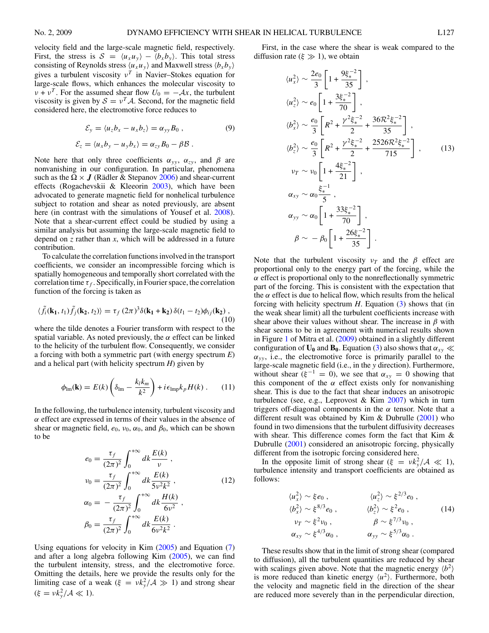velocity field and the large-scale magnetic field, respectively. First, the stress is  $S = \langle u_x u_y \rangle - \langle b_x b_y \rangle$ . This total stress consisting of Reynolds stress  $\langle u_x u_y \rangle$  and Maxwell stress  $\langle b_x b_y \rangle$ gives a turbulent viscosity *ν<sup>T</sup>* in Navier–Stokes equation for large-scale flows, which enhances the molecular viscosity to *ν* + *ν*<sup>*T*</sup>. For the assumed shear flow  $U_0 = -Ax$ , the turbulent viscosity is given by  $S = v^T A$ . Second, for the magnetic field considered here, the electromotive force reduces to

$$
\mathcal{E}_y = \langle u_z b_x - u_x b_z \rangle = \alpha_{yy} B_0 , \qquad (9)
$$

$$
\mathcal{E}_z = \langle u_x b_y - u_y b_x \rangle = \alpha_{zy} B_0 - \beta \mathcal{B} .
$$

Note here that only three coefficients  $\alpha_{yy}$ ,  $\alpha_{zy}$ , and  $\beta$  are nonvanishing in our configuration. In particular, phenomena such as the  $\Omega \times J$  (Rädler & Stepanov [2006\)](#page-4-0) and shear-current effects (Rogachevskii & Kleeorin  $2003$ ), which have been advocated to generate magnetic field for nonhelical turbulence subject to rotation and shear as noted previously, are absent here (in contrast with the simulations of Yousef et al. [2008\)](#page-4-0). Note that a shear-current effect could be studied by using a similar analysis but assuming the large-scale magnetic field to depend on *z* rather than *x*, which will be addressed in a future contribution.

To calculate the correlation functions involved in the transport coefficients, we consider an incompressible forcing which is spatially homogeneous and temporally short correlated with the correlation time  $\tau_f$ . Specifically, in Fourier space, the correlation function of the forcing is taken as

$$
\langle \tilde{f}_i(\mathbf{k_1}, t_1) \tilde{f}_j(\mathbf{k_2}, t_2) \rangle = \tau_f (2\pi)^3 \delta(\mathbf{k_1} + \mathbf{k_2}) \delta(t_1 - t_2) \phi_{ij}(\mathbf{k_2}),
$$
\n(10)

where the tilde denotes a Fourier transform with respect to the spatial variable. As noted previously, the  $\alpha$  effect can be linked to the helicity of the turbulent flow. Consequently, we consider a forcing with both a symmetric part (with energy spectrum *E*) and a helical part (with helicity spectrum *H*) given by

$$
\phi_{\text{lm}}(\mathbf{k}) = E(k) \left( \delta_{\text{lm}} - \frac{k_l k_m}{k^2} \right) + i \epsilon_{\text{lmp}} k_p H(k) \,. \tag{11}
$$

In the following, the turbulence intensity, turbulent viscosity and *α* effect are expressed in terms of their values in the absence of shear or magnetic field,  $e_0$ ,  $v_0$ ,  $\alpha_0$ , and  $\beta_0$ , which can be shown to be

$$
e_0 = \frac{\tau_f}{(2\pi)^2} \int_0^{+\infty} dk \frac{E(k)}{v},
$$
  

$$
v_0 = \frac{\tau_f}{(2\pi)^2} \int_0^{+\infty} dk \frac{E(k)}{5v^2k^2},
$$
  

$$
\tau_f \int_0^{+\infty} H(k)
$$
 (12)

$$
\alpha_0 = -\frac{\tau_f}{(2\pi)^2} \int_0^{+\infty} dk \frac{H(k)}{6\nu^2},
$$
  

$$
\beta_0 = \frac{\tau_f}{(2\pi)^2} \int_0^{+\infty} dk \frac{E(k)}{6\nu^2 k^2}.
$$

Using equations for velocity in Kim [\(2005\)](#page-4-0) and Equation [\(7\)](#page-2-0) and after a long algebra following Kim  $(2005)$ , we can find the turbulent intensity, stress, and the electromotive force. Omitting the details, here we provide the results only for the limiting case of a weak ( $\xi = v k_y^2 / A \gg 1$ ) and strong shear  $(\xi = v k_y^2 / \mathcal{A} \ll 1).$ 

First, in the case where the shear is weak compared to the diffusion rate ( $\xi \gg 1$ ), we obtain

$$
\langle u_x^2 \rangle \sim \frac{2e_0}{3} \left[ 1 + \frac{9\xi_*^{-2}}{35} \right],
$$
  
\n
$$
\langle u_z^2 \rangle \sim e_0 \left[ 1 + \frac{3\xi_*^{-2}}{70} \right],
$$
  
\n
$$
\langle b_x^2 \rangle \sim \frac{e_0}{3} \left[ R^2 + \frac{\gamma^2 \xi_*^{-2}}{2} + \frac{36\mathcal{R}^2 \xi_*^{-2}}{35} \right],
$$
  
\n
$$
\langle b_z^2 \rangle \sim \frac{e_0}{3} \left[ R^2 + \frac{\gamma^2 \xi_*^{-2}}{2} + \frac{2526\mathcal{R}^2 \xi_*^{-2}}{715} \right],
$$
  
\n
$$
v_T \sim v_0 \left[ 1 + \frac{4\xi_*^{-2}}{21} \right],
$$
  
\n
$$
\alpha_{xy} \sim \alpha_0 \frac{\xi_*^{-1}}{5},
$$
  
\n
$$
\alpha_{yy} \sim \alpha_0 \left[ 1 + \frac{33\xi_*^{-2}}{70} \right],
$$
  
\n
$$
\beta \sim -\beta_0 \left[ 1 + \frac{26\xi_*^{-2}}{35} \right].
$$
 (13)

Note that the turbulent viscosity  $v_T$  and the  $\beta$  effect are proportional only to the energy part of the forcing, while the *α* effect is proportional only to the nonreflectionally symmetric part of the forcing. This is consistent with the expectation that the  $\alpha$  effect is due to helical flow, which results from the helical forcing with helicity spectrum *H*. Equation (3) shows that (in the weak shear limit) all the turbulent coefficients increase with shear above their values without shear. The increase in *β* with shear seems to be in agreement with numerical results shown in Figure [1](#page-2-0) of Mitra et al. [\(2009\)](#page-4-0) obtained in a slightly different configuration of  $U_0$  and  $B_0$ . Equation (3) also shows that  $\alpha_{xy} \ll$  $\alpha_{yy}$ , i.e., the electromotive force is primarily parallel to the large-scale magnetic field (i.e., in the *y* direction). Furthermore, without shear  $(\xi^{-1} = 0)$ , we see that  $\alpha_{xy} = 0$  showing that this component of the  $\alpha$  effect exists only for nonvanishing shear. This is due to the fact that shear induces an anisotropic turbulence (see, e.g., Leprovost & Kim  $2007$ ) which in turn triggers off-diagonal components in the  $\alpha$  tensor. Note that a different result was obtained by Kim & Dubrulle [\(2001\)](#page-4-0) who found in two dimensions that the turbulent diffusivity decreases with shear. This difference comes form the fact that Kim & Dubrulle [\(2001\)](#page-4-0) considered an anisotropic forcing, physically different from the isotropic forcing considered here.

In the opposite limit of strong shear  $(\xi = v k_y^2 / A \ll 1)$ , turbulence intensity and transport coefficients are obtained as follows:

$$
\langle u_x^2 \rangle \sim \xi e_0, \qquad \langle u_z^2 \rangle \sim \xi^{2/3} e_0, \n\langle b_x^2 \rangle \sim \xi^{8/3} e_0, \qquad \langle b_z^2 \rangle \sim \xi^{2} e_0, \n\nu_T \sim \xi^2 \nu_0, \qquad \beta \sim \xi^{7/3} \nu_0, \n\alpha_{xy} \sim \xi^{4/3} \alpha_0, \qquad \alpha_{yy} \sim \xi^{5/3} \alpha_0.
$$
\n(14)

These results show that in the limit of strong shear (compared to diffusion), all the turbulent quantities are reduced by shear with scalings given above. Note that the magnetic energy  $\langle b^2 \rangle$ is more reduced than kinetic energy  $\langle u^2 \rangle$ . Furthermore, both the velocity and magnetic field in the direction of the shear are reduced more severely than in the perpendicular direction,